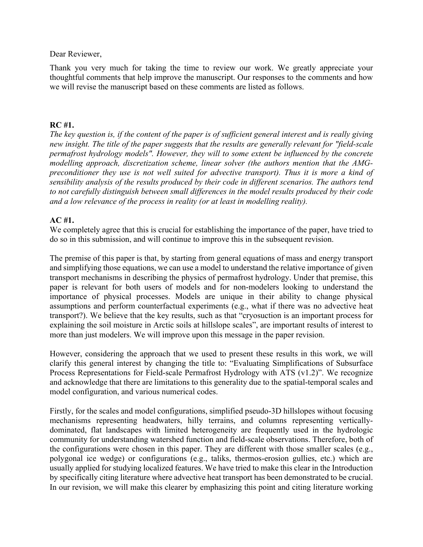Dear Reviewer,

Thank you very much for taking the time to review our work. We greatly appreciate your thoughtful comments that help improve the manuscript. Our responses to the comments and how we will revise the manuscript based on these comments are listed as follows.

# **RC #1.**

*The key question is, if the content of the paper is of sufficient general interest and is really giving new insight. The title of the paper suggests that the results are generally relevant for "field-scale permafrost hydrology models". However, they will to some extent be influenced by the concrete modelling approach, discretization scheme, linear solver (the authors mention that the AMGpreconditioner they use is not well suited for advective transport). Thus it is more a kind of sensibility analysis of the results produced by their code in different scenarios. The authors tend to not carefully distinguish between small differences in the model results produced by their code and a low relevance of the process in reality (or at least in modelling reality).*

# **AC #1.**

We completely agree that this is crucial for establishing the importance of the paper, have tried to do so in this submission, and will continue to improve this in the subsequent revision.

The premise of this paper is that, by starting from general equations of mass and energy transport and simplifying those equations, we can use a model to understand the relative importance of given transport mechanisms in describing the physics of permafrost hydrology. Under that premise, this paper is relevant for both users of models and for non-modelers looking to understand the importance of physical processes. Models are unique in their ability to change physical assumptions and perform counterfactual experiments (e.g., what if there was no advective heat transport?). We believe that the key results, such as that "cryosuction is an important process for explaining the soil moisture in Arctic soils at hillslope scales", are important results of interest to more than just modelers. We will improve upon this message in the paper revision.

However, considering the approach that we used to present these results in this work, we will clarify this general interest by changing the title to: "Evaluating Simplifications of Subsurface Process Representations for Field-scale Permafrost Hydrology with ATS (v1.2)". We recognize and acknowledge that there are limitations to this generality due to the spatial-temporal scales and model configuration, and various numerical codes.

Firstly, for the scales and model configurations, simplified pseudo-3D hillslopes without focusing mechanisms representing headwaters, hilly terrains, and columns representing verticallydominated, flat landscapes with limited heterogeneity are frequently used in the hydrologic community for understanding watershed function and field-scale observations. Therefore, both of the configurations were chosen in this paper. They are different with those smaller scales (e.g., polygonal ice wedge) or configurations (e.g., taliks, thermos-erosion gullies, etc.) which are usually applied for studying localized features. We have tried to make this clear in the Introduction by specifically citing literature where advective heat transport has been demonstrated to be crucial. In our revision, we will make this clearer by emphasizing this point and citing literature working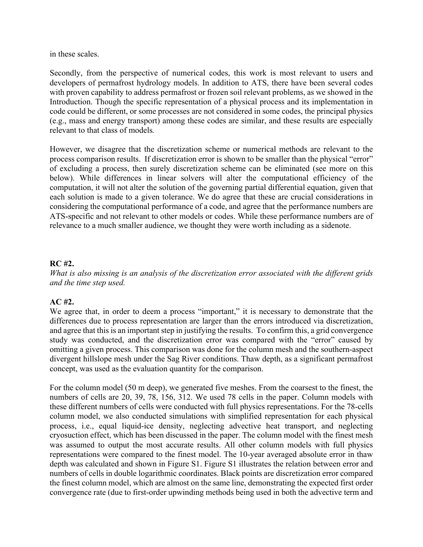in these scales.

Secondly, from the perspective of numerical codes, this work is most relevant to users and developers of permafrost hydrology models. In addition to ATS, there have been several codes with proven capability to address permafrost or frozen soil relevant problems, as we showed in the Introduction. Though the specific representation of a physical process and its implementation in code could be different, or some processes are not considered in some codes, the principal physics (e.g., mass and energy transport) among these codes are similar, and these results are especially relevant to that class of models*.*

However, we disagree that the discretization scheme or numerical methods are relevant to the process comparison results. If discretization error is shown to be smaller than the physical "error" of excluding a process, then surely discretization scheme can be eliminated (see more on this below). While differences in linear solvers will alter the computational efficiency of the computation, it will not alter the solution of the governing partial differential equation, given that each solution is made to a given tolerance. We do agree that these are crucial considerations in considering the computational performance of a code, and agree that the performance numbers are ATS-specific and not relevant to other models or codes. While these performance numbers are of relevance to a much smaller audience, we thought they were worth including as a sidenote.

## **RC #2.**

*What is also missing is an analysis of the discretization error associated with the different grids and the time step used.*

# **AC #2.**

We agree that, in order to deem a process "important," it is necessary to demonstrate that the differences due to process representation are larger than the errors introduced via discretization, and agree that this is an important step in justifying the results. To confirm this, a grid convergence study was conducted, and the discretization error was compared with the "error" caused by omitting a given process. This comparison was done for the column mesh and the southern-aspect divergent hillslope mesh under the Sag River conditions. Thaw depth, as a significant permafrost concept, was used as the evaluation quantity for the comparison.

For the column model (50 m deep), we generated five meshes. From the coarsest to the finest, the numbers of cells are 20, 39, 78, 156, 312. We used 78 cells in the paper. Column models with these different numbers of cells were conducted with full physics representations. For the 78-cells column model, we also conducted simulations with simplified representation for each physical process, i.e., equal liquid-ice density, neglecting advective heat transport, and neglecting cryosuction effect, which has been discussed in the paper. The column model with the finest mesh was assumed to output the most accurate results. All other column models with full physics representations were compared to the finest model. The 10-year averaged absolute error in thaw depth was calculated and shown in Figure S1. Figure S1 illustrates the relation between error and numbers of cells in double logarithmic coordinates. Black points are discretization error compared the finest column model, which are almost on the same line, demonstrating the expected first order convergence rate (due to first-order upwinding methods being used in both the advective term and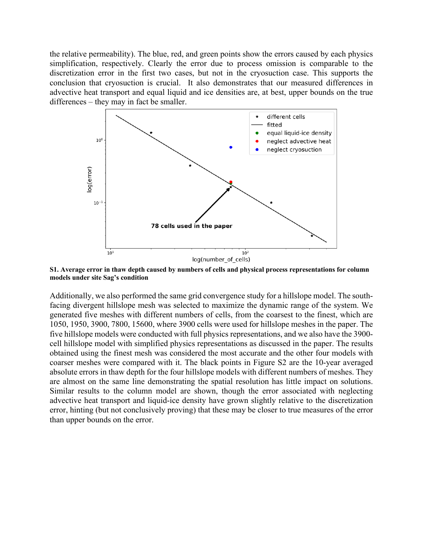the relative permeability). The blue, red, and green points show the errors caused by each physics simplification, respectively. Clearly the error due to process omission is comparable to the discretization error in the first two cases, but not in the cryosuction case. This supports the conclusion that cryosuction is crucial. It also demonstrates that our measured differences in advective heat transport and equal liquid and ice densities are, at best, upper bounds on the true differences – they may in fact be smaller.



**S1. Average error in thaw depth caused by numbers of cells and physical process representations for column models under site Sag's condition**

Additionally, we also performed the same grid convergence study for a hillslope model. The southfacing divergent hillslope mesh was selected to maximize the dynamic range of the system. We generated five meshes with different numbers of cells, from the coarsest to the finest, which are 1050, 1950, 3900, 7800, 15600, where 3900 cells were used for hillslope meshes in the paper. The five hillslope models were conducted with full physics representations, and we also have the 3900 cell hillslope model with simplified physics representations as discussed in the paper. The results obtained using the finest mesh was considered the most accurate and the other four models with coarser meshes were compared with it. The black points in Figure S2 are the 10-year averaged absolute errors in thaw depth for the four hillslope models with different numbers of meshes. They are almost on the same line demonstrating the spatial resolution has little impact on solutions. Similar results to the column model are shown, though the error associated with neglecting advective heat transport and liquid-ice density have grown slightly relative to the discretization error, hinting (but not conclusively proving) that these may be closer to true measures of the error than upper bounds on the error.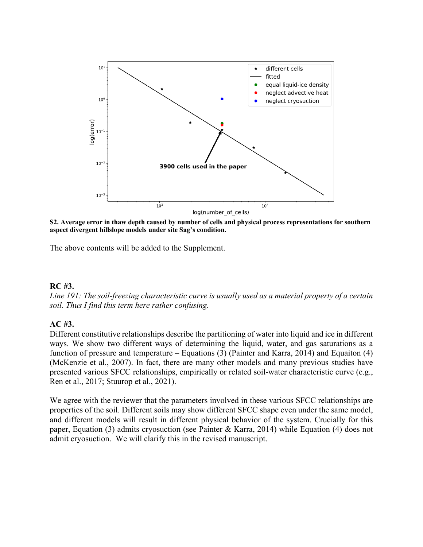

**S2. Average error in thaw depth caused by number of cells and physical process representations for southern aspect divergent hillslope models under site Sag's condition.**

The above contents will be added to the Supplement.

#### **RC #3.**

*Line 191: The soil-freezing characteristic curve is usually used as a material property of a certain soil. Thus I find this term here rather confusing.*

## **AC #3.**

Different constitutive relationships describe the partitioning of water into liquid and ice in different ways. We show two different ways of determining the liquid, water, and gas saturations as a function of pressure and temperature – Equations (3) (Painter and Karra, 2014) and Equaiton (4) (McKenzie et al., 2007). In fact, there are many other models and many previous studies have presented various SFCC relationships, empirically or related soil-water characteristic curve (e.g., Ren et al., 2017; Stuurop et al., 2021).

We agree with the reviewer that the parameters involved in these various SFCC relationships are properties of the soil. Different soils may show different SFCC shape even under the same model, and different models will result in different physical behavior of the system. Crucially for this paper, Equation (3) admits cryosuction (see Painter & Karra, 2014) while Equation (4) does not admit cryosuction. We will clarify this in the revised manuscript.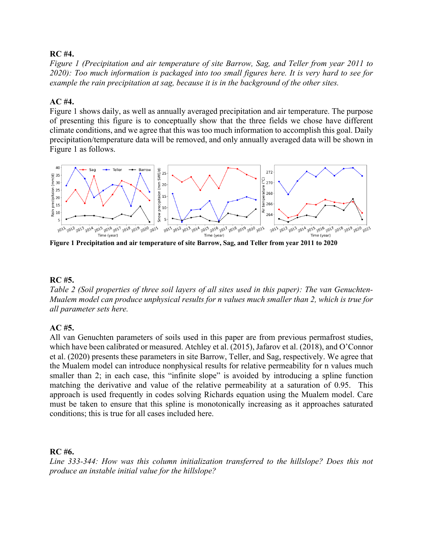## **RC #4.**

*Figure 1 (Precipitation and air temperature of site Barrow, Sag, and Teller from year 2011 to 2020): Too much information is packaged into too small figures here. It is very hard to see for example the rain precipitation at sag, because it is in the background of the other sites.*

## **AC #4.**

Figure 1 shows daily, as well as annually averaged precipitation and air temperature. The purpose of presenting this figure is to conceptually show that the three fields we chose have different climate conditions, and we agree that this was too much information to accomplish this goal. Daily precipitation/temperature data will be removed, and only annually averaged data will be shown in Figure 1 as follows.



**Figure 1 Precipitation and air temperature of site Barrow, Sag, and Teller from year 2011 to 2020**

#### **RC #5.**

*Table 2 (Soil properties of three soil layers of all sites used in this paper): The van Genuchten-Mualem model can produce unphysical results for n values much smaller than 2, which is true for all parameter sets here.*

## **AC #5.**

All van Genuchten parameters of soils used in this paper are from previous permafrost studies, which have been calibrated or measured. Atchley et al. (2015), Jafarov et al. (2018), and O'Connor et al. (2020) presents these parameters in site Barrow, Teller, and Sag, respectively. We agree that the Mualem model can introduce nonphysical results for relative permeability for n values much smaller than 2; in each case, this "infinite slope" is avoided by introducing a spline function matching the derivative and value of the relative permeability at a saturation of 0.95. This approach is used frequently in codes solving Richards equation using the Mualem model. Care must be taken to ensure that this spline is monotonically increasing as it approaches saturated conditions; this is true for all cases included here.

#### **RC #6.**

*Line 333-344: How was this column initialization transferred to the hillslope? Does this not produce an instable initial value for the hillslope?*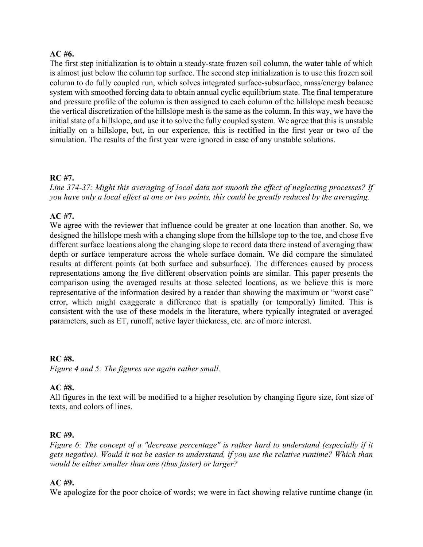### **AC #6.**

The first step initialization is to obtain a steady-state frozen soil column, the water table of which is almost just below the column top surface. The second step initialization is to use this frozen soil column to do fully coupled run, which solves integrated surface-subsurface, mass/energy balance system with smoothed forcing data to obtain annual cyclic equilibrium state. The final temperature and pressure profile of the column is then assigned to each column of the hillslope mesh because the vertical discretization of the hillslope mesh is the same as the column. In this way, we have the initial state of a hillslope, and use it to solve the fully coupled system. We agree that this is unstable initially on a hillslope, but, in our experience, this is rectified in the first year or two of the simulation. The results of the first year were ignored in case of any unstable solutions.

### **RC #7.**

*Line 374-37: Might this averaging of local data not smooth the effect of neglecting processes? If you have only a local effect at one or two points, this could be greatly reduced by the averaging.*

## **AC #7.**

We agree with the reviewer that influence could be greater at one location than another. So, we designed the hillslope mesh with a changing slope from the hillslope top to the toe, and chose five different surface locations along the changing slope to record data there instead of averaging thaw depth or surface temperature across the whole surface domain. We did compare the simulated results at different points (at both surface and subsurface). The differences caused by process representations among the five different observation points are similar. This paper presents the comparison using the averaged results at those selected locations, as we believe this is more representative of the information desired by a reader than showing the maximum or "worst case" error, which might exaggerate a difference that is spatially (or temporally) limited. This is consistent with the use of these models in the literature, where typically integrated or averaged parameters, such as ET, runoff, active layer thickness, etc. are of more interest.

# **RC #8.** *Figure 4 and 5: The figures are again rather small.*

## **AC #8.**

All figures in the text will be modified to a higher resolution by changing figure size, font size of texts, and colors of lines.

#### **RC #9.**

*Figure 6: The concept of a "decrease percentage" is rather hard to understand (especially if it gets negative). Would it not be easier to understand, if you use the relative runtime? Which than would be either smaller than one (thus faster) or larger?*

#### **AC #9.**

We apologize for the poor choice of words; we were in fact showing relative runtime change (in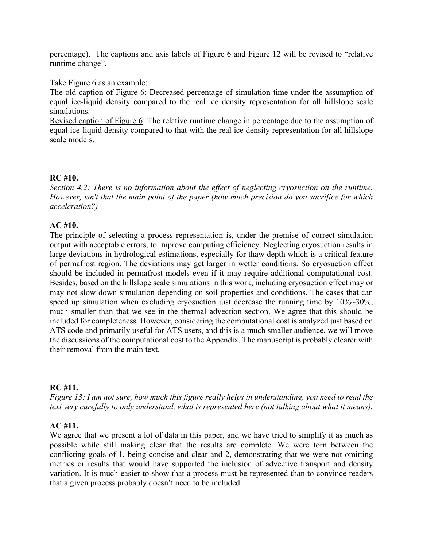percentage). The captions and axis labels of Figure 6 and Figure 12 will be revised to "relative runtime change".

Take Figure 6 as an example:

The old caption of Figure 6: Decreased percentage of simulation time under the assumption of equal ice-liquid density compared to the real ice density representation for all hillslope scale simulations.

Revised caption of Figure 6: The relative runtime change in percentage due to the assumption of equal ice-liquid density compared to that with the real ice density representation for all hillslope scale models.

### **RC #10.**

*Section 4.2: There is no information about the effect of neglecting cryosuction on the runtime. However, isn't that the main point of the paper (how much precision do you sacrifice for which acceleration?)*

## **AC #10.**

The principle of selecting a process representation is, under the premise of correct simulation output with acceptable errors, to improve computing efficiency. Neglecting cryosuction results in large deviations in hydrological estimations, especially for thaw depth which is a critical feature of permafrost region. The deviations may get larger in wetter conditions. So cryosuction effect should be included in permafrost models even if it may require additional computational cost. Besides, based on the hillslope scale simulations in this work, including cryosuction effect may or may not slow down simulation depending on soil properties and conditions. The cases that can speed up simulation when excluding cryosuction just decrease the running time by  $10\%~30\%$ , much smaller than that we see in the thermal advection section. We agree that this should be included for completeness. However, considering the computational cost is analyzed just based on ATS code and primarily useful for ATS users, and this is a much smaller audience, we will move the discussions of the computational cost to the Appendix. The manuscript is probably clearer with their removal from the main text.

## **RC #11.**

*Figure 13: I am not sure, how much this figure really helps in understanding. you need to read the text very carefully to only understand, what is represented here (not talking about what it means).*

## **AC #11.**

We agree that we present a lot of data in this paper, and we have tried to simplify it as much as possible while still making clear that the results are complete. We were torn between the conflicting goals of 1, being concise and clear and 2, demonstrating that we were not omitting metrics or results that would have supported the inclusion of advective transport and density variation. It is much easier to show that a process must be represented than to convince readers that a given process probably doesn't need to be included.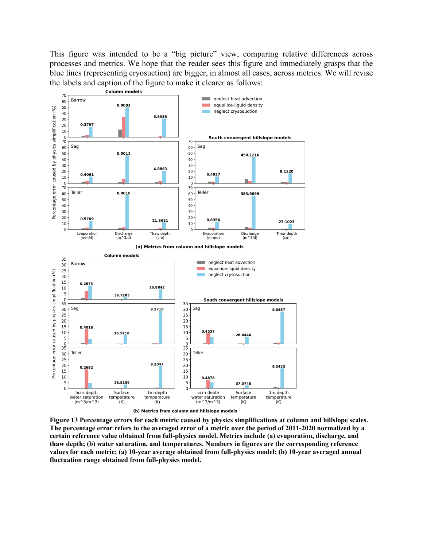This figure was intended to be a "big picture" view, comparing relative differences across processes and metrics. We hope that the reader sees this figure and immediately grasps that the blue lines (representing cryosuction) are bigger, in almost all cases, across metrics. We will revise the labels and caption of the figure to make it clearer as follows:



**Figure 13 Percentage errors for each metric caused by physics simplifications at column and hillslope scales. The percentage error refers to the averaged error of a metric over the period of 2011-2020 normalized by a certain reference value obtained from full-physics model. Metrics include (a) evaporation, discharge, and thaw depth; (b) water saturation, and temperatures. Numbers in figures are the corresponding reference values for each metric: (a) 10-year average obtained from full-physics model; (b) 10-year averaged annual fluctuation range obtained from full-physics model.**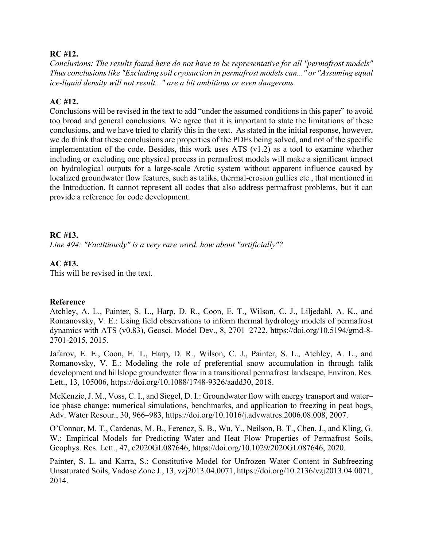### **RC #12.**

*Conclusions: The results found here do not have to be representative for all "permafrost models" Thus conclusions like "Excluding soil cryosuction in permafrost models can..." or "Assuming equal ice-liquid density will not result..." are a bit ambitious or even dangerous.*

## **AC #12.**

Conclusions will be revised in the text to add "under the assumed conditions in this paper" to avoid too broad and general conclusions. We agree that it is important to state the limitations of these conclusions, and we have tried to clarify this in the text. As stated in the initial response, however, we do think that these conclusions are properties of the PDEs being solved, and not of the specific implementation of the code. Besides, this work uses ATS (v1.2) as a tool to examine whether including or excluding one physical process in permafrost models will make a significant impact on hydrological outputs for a large-scale Arctic system without apparent influence caused by localized groundwater flow features, such as taliks, thermal-erosion gullies etc., that mentioned in the Introduction. It cannot represent all codes that also address permafrost problems, but it can provide a reference for code development.

## **RC #13.**

*Line 494: "Factitiously" is a very rare word. how about "artificially"?*

# **AC #13.**

This will be revised in the text.

## **Reference**

Atchley, A. L., Painter, S. L., Harp, D. R., Coon, E. T., Wilson, C. J., Liljedahl, A. K., and Romanovsky, V. E.: Using field observations to inform thermal hydrology models of permafrost dynamics with ATS (v0.83), Geosci. Model Dev., 8, 2701–2722, https://doi.org/10.5194/gmd-8- 2701-2015, 2015.

Jafarov, E. E., Coon, E. T., Harp, D. R., Wilson, C. J., Painter, S. L., Atchley, A. L., and Romanovsky, V. E.: Modeling the role of preferential snow accumulation in through talik development and hillslope groundwater flow in a transitional permafrost landscape, Environ. Res. Lett., 13, 105006, https://doi.org/10.1088/1748-9326/aadd30, 2018.

McKenzie, J. M., Voss, C. I., and Siegel, D. I.: Groundwater flow with energy transport and water– ice phase change: numerical simulations, benchmarks, and application to freezing in peat bogs, Adv. Water Resour., 30, 966–983, https://doi.org/10.1016/j.advwatres.2006.08.008, 2007.

O'Connor, M. T., Cardenas, M. B., Ferencz, S. B., Wu, Y., Neilson, B. T., Chen, J., and Kling, G. W.: Empirical Models for Predicting Water and Heat Flow Properties of Permafrost Soils, Geophys. Res. Lett., 47, e2020GL087646, https://doi.org/10.1029/2020GL087646, 2020.

Painter, S. L. and Karra, S.: Constitutive Model for Unfrozen Water Content in Subfreezing Unsaturated Soils, Vadose Zone J., 13, vzj2013.04.0071, https://doi.org/10.2136/vzj2013.04.0071, 2014.